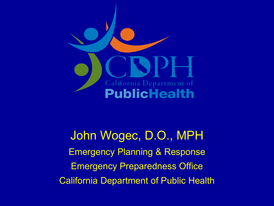

John Wogec, D.O., MPH Emergency Planning & Response Emergency Preparedness Office California Department of Public Health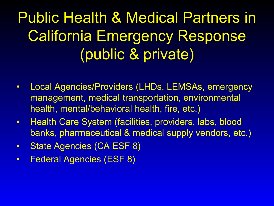### Public Health & Medical Partners in California Emergency Response (public & private)

- Local Agencies/Providers (LHDs, LEMSAs, emergency management, medical transportation, environmental health, mental/behavioral health, fire, etc.)
- Health Care System (facilities, providers, labs, blood banks, pharmaceutical & medical supply vendors, etc.)
- State Agencies (CA ESF 8)
- Federal Agencies (ESF 8)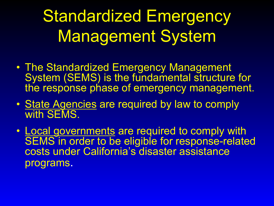Standardized Emergency Management System

- The Standardized Emergency Management System (SEMS) is the fundamental structure for the response phase of emergency management.
- State Agencies are required by law to comply with SEMS.
- Local governments are required to comply with SEMS in order to be eligible for response-related costs under California's disaster assistance programs.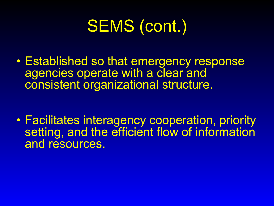# SEMS (cont.)

• Established so that emergency response agencies operate with a clear and consistent organizational structure.

• Facilitates interagency cooperation, priority setting, and the efficient flow of information and resources.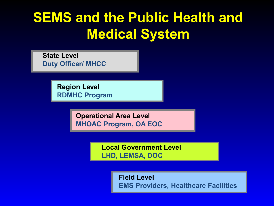#### **SEMS and the Public Health and Medical System**

**State Level Duty Officer/ MHCC**

> **Region Level RDMHC Program**

> > **Operational Area Level MHOAC Program, OA EOC**

> > > **Local Government Level LHD, LEMSA, DOC**

> > > > **Field Level EMS Providers, Healthcare Facilities**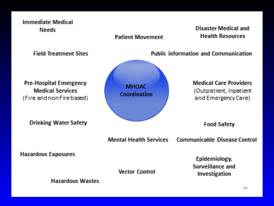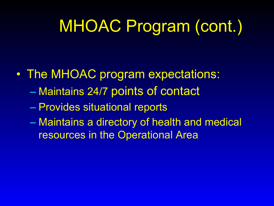### MHOAC Program (cont.)

- The MHOAC program expectations:
	- Maintains 24/7 points of contact
	- Provides situational reports
	- Maintains a directory of health and medical resources in the Operational Area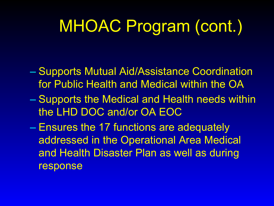### MHOAC Program (cont.)

- Supports Mutual Aid/Assistance Coordination for Public Health and Medical within the OA
- Supports the Medical and Health needs within the LHD DOC and/or OA EOC
- Ensures the 17 functions are adequately addressed in the Operational Area Medical and Health Disaster Plan as well as during response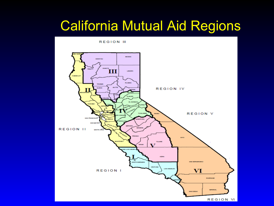#### California Mutual Aid Regions

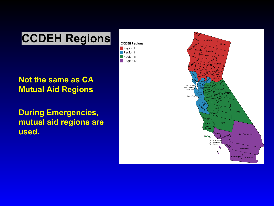#### **CCDEH Regions**

**CCDEH Regions** 

 $\blacksquare$  Region I

 $\blacksquare$  Region II

 $\blacksquare$  Region III

 $\blacksquare$  Region IV

#### **Not the same as CA Mutual Aid Regions**

**During Emergencies, mutual aid regions are used.**

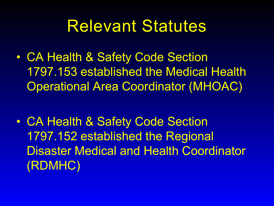#### Relevant Statutes

• CA Health & Safety Code Section 1797.153 established the Medical Health Operational Area Coordinator (MHOAC)

• CA Health & Safety Code Section 1797.152 established the Regional Disaster Medical and Health Coordinator (RDMHC)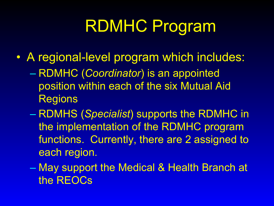# RDMHC Program

- A regional-level program which includes:
	- RDMHC (*Coordinator*) is an appointed position within each of the six Mutual Aid Regions
	- RDMHS (*Specialist*) supports the RDMHC in the implementation of the RDMHC program functions. Currently, there are 2 assigned to each region.
	- May support the Medical & Health Branch at the REOCs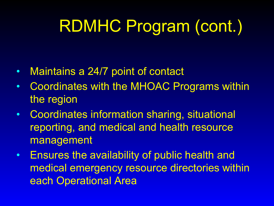# RDMHC Program (cont.)

- Maintains a 24/7 point of contact
- Coordinates with the MHOAC Programs within the region
- Coordinates information sharing, situational reporting, and medical and health resource management
- Ensures the availability of public health and medical emergency resource directories within each Operational Area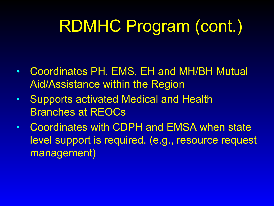# RDMHC Program (cont.)

- Coordinates PH, EMS, EH and MH/BH Mutual Aid/Assistance within the Region
- Supports activated Medical and Health Branches at REOCs
- Coordinates with CDPH and EMSA when state level support is required. (e.g., resource request management)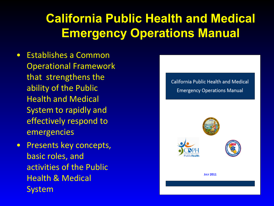#### **California Public Health and Medical Emergency Operations Manual**

- Establishes a Common Operational Framework that strengthens the ability of the Public Health and Medical System to rapidly and effectively respond to emergencies
- Presents key concepts, basic roles, and activities of the Public Health & Medical System

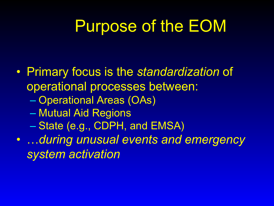#### Purpose of the EOM

• Primary focus is the *standardization* of operational processes between: – Operational Areas (OAs) – Mutual Aid Regions – State (e.g., CDPH, and EMSA) • …*during unusual events and emergency system activation*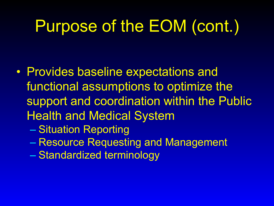### Purpose of the EOM (cont.)

- Provides baseline expectations and functional assumptions to optimize the support and coordination within the Public Health and Medical System
	- Situation Reporting
	- Resource Requesting and Management
	- Standardized terminology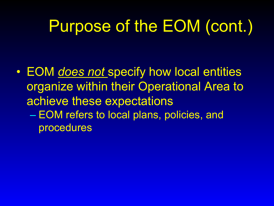# Purpose of the EOM (cont.)

• EOM *does not* specify how local entities organize within their Operational Area to achieve these expectations – EOM refers to local plans, policies, and procedures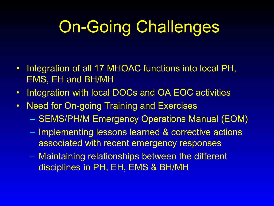# On-Going Challenges

- Integration of all 17 MHOAC functions into local PH, EMS, EH and BH/MH
- Integration with local DOCs and OA EOC activities
- Need for On-going Training and Exercises
	- SEMS/PH/M Emergency Operations Manual (EOM)
	- Implementing lessons learned & corrective actions associated with recent emergency responses
	- Maintaining relationships between the different disciplines in PH, EH, EMS & BH/MH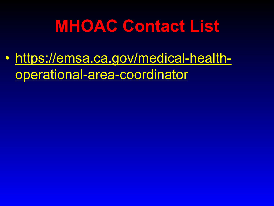#### **MHOAC Contact List**

• [https://emsa.ca.gov/medical-health](https://emsa.ca.gov/medical-health-operational-area-coordinator)operational-area-coordinator